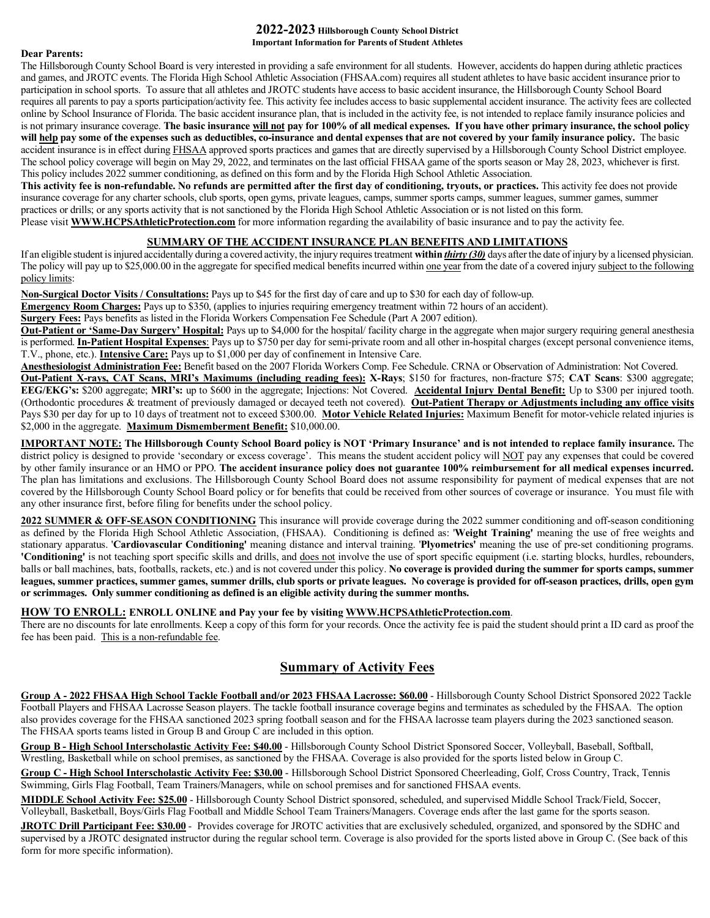### **2022-2023 Hillsborough County School District Important Information for Parents of Student Athletes**

#### **Dear Parents:**

The Hillsborough County School Board is very interested in providing a safe environment for all students. However, accidents do happen during athletic practices and games, and JROTC events. The Florida High School Athletic Association (FHSAA.com) requires all student athletes to have basic accident insurance prior to participation in school sports. To assure that all athletes and JROTC students have access to basic accident insurance, the Hillsborough County School Board requires all parents to pay a sports participation/activity fee. This activity fee includes access to basic supplemental accident insurance. The activity fees are collected online by School Insurance of Florida. The basic accident insurance plan, that is included in the activity fee, is not intended to replace family insurance policies and is not primary insurance coverage. **The basic insurance will not pay for 100% of all medical expenses. If you have other primary insurance, the school policy will help pay some of the expenses such as deductibles, co-insurance and dental expenses that are not covered by your family insurance policy.** The basic accident insurance is in effect during FHSAA approved sports practices and games that are directly supervised by a Hillsborough County School District employee. The school policy coverage will begin on May 29, 2022, and terminates on the last official FHSAA game of the sports season or May 28, 2023, whichever is first. This policy includes 2022 summer conditioning, as defined on this form and by the Florida High School Athletic Association.

**This activity fee is non-refundable. No refunds are permitted after the first day of conditioning, tryouts, or practices.** This activity fee does not provide insurance coverage for any charter schools, club sports, open gyms, private leagues, camps, summer sports camps, summer leagues, summer games, summer practices or drills; or any sports activity that is not sanctioned by the Florida High School Athletic Association or is not listed on this form. Please visit **[WWW.HCPSAthleticProtection.com](http://www.schoolinsuranceofflorida.com/)** for more information regarding the availability of basic insurance and to pay the activity fee.

# **SUMMARY OF THE ACCIDENT INSURANCE PLAN BENEFITS AND LIMITATIONS**

If an eligible student is injured accidentally during a covered activity, the injury requires treatment **within** *thirty (30)* days after the date of injury by a licensed physician. The policy will pay up to \$25,000.00 in the aggregate for specified medical benefits incurred within one year from the date of a covered injury subject to the following policy limits:

**Non-Surgical Doctor Visits / Consultations:** Pays up to \$45 for the first day of care and up to \$30 for each day of follow-up.

**Emergency Room Charges:** Pays up to \$350, (applies to injuries requiring emergency treatment within 72 hours of an accident).

**Surgery Fees:** Pays benefits as listed in the Florida Workers Compensation Fee Schedule (Part A 2007 edition).

**Out-Patient or 'Same-Day Surgery' Hospital:** Pays up to \$4,000 for the hospital/ facility charge in the aggregate when major surgery requiring general anesthesia is performed. **In-Patient Hospital Expenses**: Pays up to \$750 per day for semi-private room and all other in-hospital charges (except personal convenience items, T.V., phone, etc.). **Intensive Care:** Pays up to \$1,000 per day of confinement in Intensive Care.

**Anesthesiologist Administration Fee:** Benefit based on the 2007 Florida Workers Comp. Fee Schedule. CRNA or Observation of Administration: Not Covered.

**Out-Patient X-rays, CAT Scans, MRI's Maximums (including reading fees): X-Rays**; \$150 for fractures, non-fracture \$75; **CAT Scans**: \$300 aggregate; **EEG/EKG's:** \$200 aggregate; **MRI's:** up to \$600 in the aggregate; Injections: Not Covered. **Accidental Injury Dental Benefit:** Up to \$300 per injured tooth. (Orthodontic procedures & treatment of previously damaged or decayed teeth not covered). **Out-Patient Therapy or Adjustments including any office visits** Pays \$30 per day for up to 10 days of treatment not to exceed \$300.00. **Motor Vehicle Related Injuries:** Maximum Benefit for motor-vehicle related injuries is \$2,000 in the aggregate. **Maximum Dismemberment Benefit:** \$10,000.00.

**IMPORTANT NOTE: The Hillsborough County School Board policy is NOT 'Primary Insurance' and is not intended to replace family insurance.** The district policy is designed to provide 'secondary or excess coverage'. This means the student accident policy will NOT pay any expenses that could be covered by other family insurance or an HMO or PPO. **The accident insurance policy does not guarantee 100% reimbursement for all medical expenses incurred.** The plan has limitations and exclusions. The Hillsborough County School Board does not assume responsibility for payment of medical expenses that are not covered by the Hillsborough County School Board policy or for benefits that could be received from other sources of coverage or insurance. You must file with any other insurance first, before filing for benefits under the school policy.

**2022 SUMMER & OFF-SEASON CONDITIONING** This insurance will provide coverage during the 2022 summer conditioning and off-season conditioning as defined by the Florida High School Athletic Association, (FHSAA). Conditioning is defined as: '**Weight Training'** meaning the use of free weights and stationary apparatus. '**Cardiovascular Conditioning'** meaning distance and interval training. '**Plyometrics'** meaning the use of pre-set conditioning programs. **'Conditioning'** is not teaching sport specific skills and drills, and does not involve the use of sport specific equipment (i.e. starting blocks, hurdles, rebounders, balls or ball machines, bats, footballs, rackets, etc.) and is not covered under this policy. **No coverage is provided during the summer for sports camps, summer leagues, summer practices, summer games, summer drills, club sports or private leagues. No coverage is provided for off-season practices, drills, open gym or scrimmages. Only summer conditioning as defined is an eligible activity during the summer months.**

# **HOW TO ENROLL: ENROLL ONLINE and Pay your fee by visitin[g WWW.HCPSAthleticProtection.com](http://www.schoolinsuranceofflorida.com/)**.

There are no discounts for late enrollments. Keep a copy of this form for your records. Once the activity fee is paid the student should print a ID card as proof the fee has been paid. This is a non-refundable fee.

# **Summary of Activity Fees**

**Group A - 2022 FHSAA High School Tackle Football and/or 2023 FHSAA Lacrosse: \$60.00** - Hillsborough County School District Sponsored 2022 Tackle Football Players and FHSAA Lacrosse Season players. The tackle football insurance coverage begins and terminates as scheduled by the FHSAA. The option also provides coverage for the FHSAA sanctioned 2023 spring football season and for the FHSAA lacrosse team players during the 2023 sanctioned season. The FHSAA sports teams listed in Group B and Group C are included in this option.

**Group B - High School Interscholastic Activity Fee: \$40.00** - Hillsborough County School District Sponsored Soccer, Volleyball, Baseball, Softball, Wrestling, Basketball while on school premises, as sanctioned by the FHSAA. Coverage is also provided for the sports listed below in Group C.

**Group C - High School Interscholastic Activity Fee: \$30.00** - Hillsborough School District Sponsored Cheerleading, Golf, Cross Country, Track, Tennis Swimming, Girls Flag Football, Team Trainers/Managers, while on school premises and for sanctioned FHSAA events.

**MIDDLE School Activity Fee: \$25.00** - Hillsborough County School District sponsored, scheduled, and supervised Middle School Track/Field, Soccer, Volleyball, Basketball, Boys/Girls Flag Football and Middle School Team Trainers/Managers. Coverage ends after the last game for the sports season.

**JROTC Drill Participant Fee: \$30.00** - Provides coverage for JROTC activities that are exclusively scheduled, organized, and sponsored by the SDHC and supervised by a JROTC designated instructor during the regular school term. Coverage is also provided for the sports listed above in Group C. (See back of this form for more specific information).